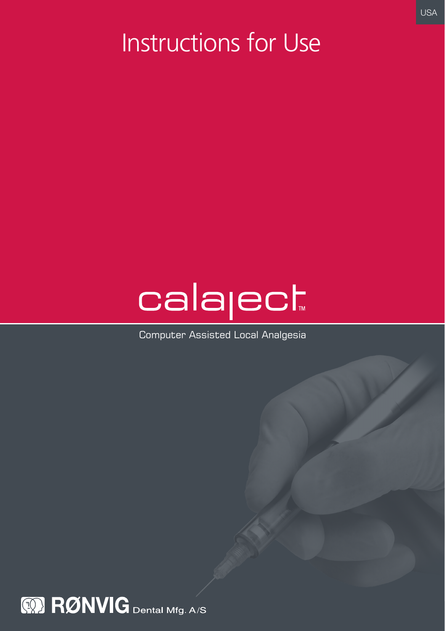## Instructions for Use

# calaject

Computer Assisted Local Analgesia

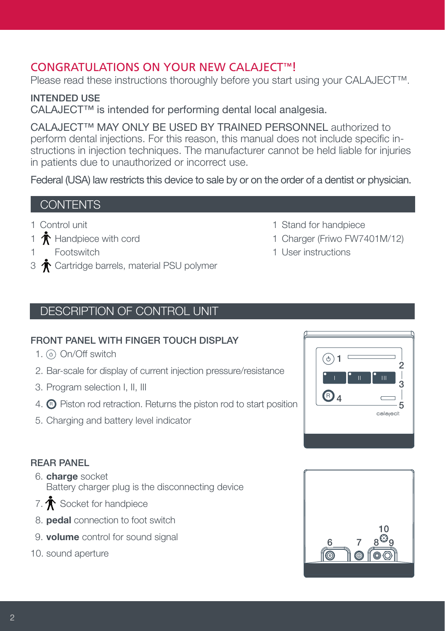## CONGRATULATIONS ON YOUR NEW CALAJECT™!

Please read these instructions thoroughly before you start using your CALAJECT™.

INTENDED USE CALAJECT™ is intended for performing dental local analgesia.

CALAJECT™ MAY ONLY BE USED BY TRAINED PERSONNEL authorized to perform dental injections. For this reason, this manual does not include specific instructions in injection techniques. The manufacturer cannot be held liable for injuries in patients due to unauthorized or incorrect use.

Federal (USA) law restricts this device to sale by or on the order of a dentist or physician.

## **CONTENTS**

- 1 Control unit
- 1  $\mathbf{\hat{T}}$  Handpiece with cord
- 1 Footswitch
- 3  $\bigwedge^{\bullet}$  Cartridge barrels, material PSU polymer
	- DESCRIPTION OF CONTROL UNIT

## FRONT PANEL WITH FINGER TOUCH DISPLAY

- 1.  $\circ$  On/Off switch
- 2. Bar-scale for display of current injection pressure/resistance
- 3. Program selection I, II, III
- 4.  $\bigcirc$  Piston rod retraction. Returns the piston rod to start position
- 5. Charging and battery level indicator

## REAR PANEL

- 6. charge socket Battery charger plug is the disconnecting device
- 7.  $\mathbf{\hat{T}}$  Socket for handpiece
- 8. pedal connection to foot switch
- 9. **volume** control for sound signal
- 10. sound aperture

1 Stand for handpiece

1 User instructions

1 Charger (Friwo FW7401M/12)

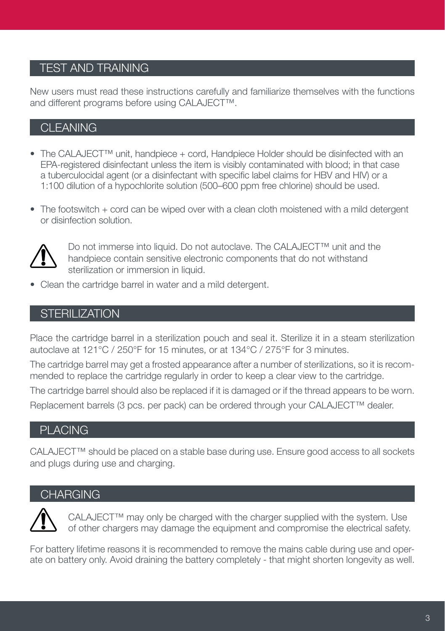## TEST AND TRAINING

New users must read these instructions carefully and familiarize themselves with the functions and different programs before using CALAJECT™.

## CLEANING

- The CALAJECT™ unit, handpiece + cord, Handpiece Holder should be disinfected with an EPA-registered disinfectant unless the item is visibly contaminated with blood; in that case a tuberculocidal agent (or a disinfectant with specific label claims for HBV and HIV) or a 1:100 dilution of a hypochlorite solution (500–600 ppm free chlorine) should be used.
- The footswitch + cord can be wiped over with a clean cloth moistened with a mild detergent or disinfection solution.



 Do not immerse into liquid. Do not autoclave. The CALAJECT™ unit and the handpiece contain sensitive electronic components that do not withstand sterilization or immersion in liquid.

• Clean the cartridge barrel in water and a mild detergent.

## **STERILIZATION**

Place the cartridge barrel in a sterilization pouch and seal it. Sterilize it in a steam sterilization autoclave at 121°C / 250°F for 15 minutes, or at 134°C / 275°F for 3 minutes.

The cartridge barrel may get a frosted appearance after a number of sterilizations, so it is recommended to replace the cartridge regularly in order to keep a clear view to the cartridge.

The cartridge barrel should also be replaced if it is damaged or if the thread appears to be worn. Replacement barrels (3 pcs. per pack) can be ordered through your CALAJECT™ dealer.

## PLACING

CALAJECT™ should be placed on a stable base during use. Ensure good access to all sockets and plugs during use and charging.

## **CHARGING**



CALAJECT™ may only be charged with the charger supplied with the system. Use of other chargers may damage the equipment and compromise the electrical safety.

For battery lifetime reasons it is recommended to remove the mains cable during use and operate on battery only. Avoid draining the battery completely - that might shorten longevity as well.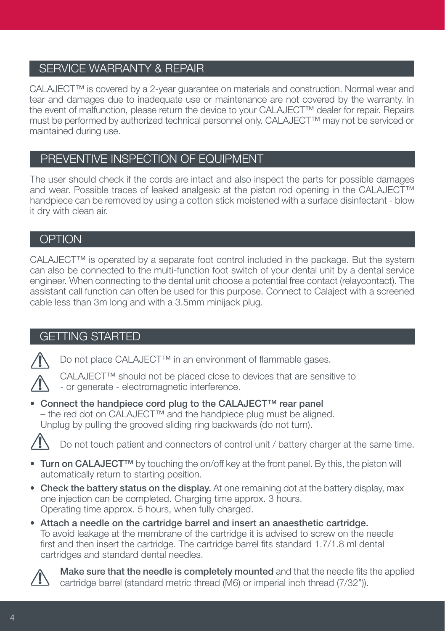## SERVICE WARRANTY & REPAIR

CALAJECT™ is covered by a 2-year guarantee on materials and construction. Normal wear and tear and damages due to inadequate use or maintenance are not covered by the warranty. In the event of malfunction, please return the device to your CALAJECT™ dealer for repair. Repairs must be performed by authorized technical personnel only. CALAJECT™ may not be serviced or maintained during use.

## PREVENTIVE INSPECTION OF EQUIPMENT

The user should check if the cords are intact and also inspect the parts for possible damages and wear. Possible traces of leaked analgesic at the piston rod opening in the CALAJECT™ handpiece can be removed by using a cotton stick moistened with a surface disinfectant - blow it dry with clean air.

## **OPTION**

CALAJECT™ is operated by a separate foot control included in the package. But the system can also be connected to the multi-function foot switch of your dental unit by a dental service engineer. When connecting to the dental unit choose a potential free contact (relaycontact). The assistant call function can often be used for this purpose. Connect to Calaject with a screened cable less than 3m long and with a 3.5mm minijack plug.

## GETTING STARTED



Do not place CALAJECT<sup>™</sup> in an environment of flammable gases.



• Connect the handpiece cord plug to the CALAJECT™ rear panel – the red dot on CALAJECT™ and the handpiece plug must be aligned. Unplug by pulling the grooved sliding ring backwards (do not turn).



Do not touch patient and connectors of control unit / battery charger at the same time.

- Turn on CALAJECT<sup>™</sup> by touching the on/off key at the front panel. By this, the piston will automatically return to starting position.
- Check the battery status on the display. At one remaining dot at the battery display, max one injection can be completed. Charging time approx. 3 hours. Operating time approx. 5 hours, when fully charged.
- Attach a needle on the cartridge barrel and insert an anaesthetic cartridge. To avoid leakage at the membrane of the cartridge it is advised to screw on the needle first and then insert the cartridge. The cartridge barrel fits standard 1.7/1.8 ml dental cartridges and standard dental needles.



Make sure that the needle is completely mounted and that the needle fits the applied cartridge barrel (standard metric thread (M6) or imperial inch thread (7/32")).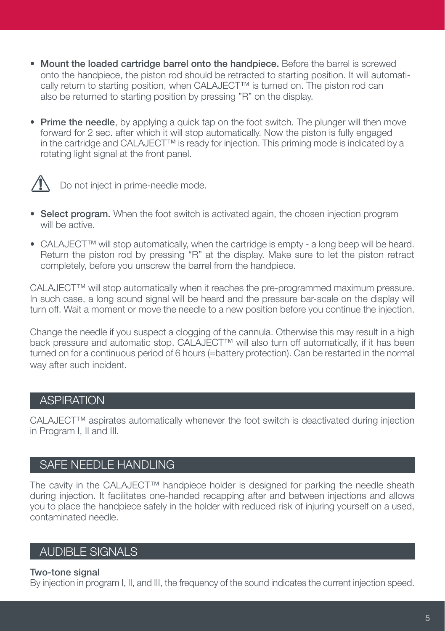- Mount the loaded cartridge barrel onto the handpiece. Before the barrel is screwed onto the handpiece, the piston rod should be retracted to starting position. It will automatically return to starting position, when CALAJECT™ is turned on. The piston rod can also be returned to starting position by pressing "R" on the display.
- Prime the needle, by applying a quick tap on the foot switch. The plunger will then move forward for 2 sec. after which it will stop automatically. Now the piston is fully engaged in the cartridge and CALAJECT™ is ready for injection. This priming mode is indicated by a rotating light signal at the front panel.



 $\sqrt{N}$  Do not inject in prime-needle mode.

- Select program. When the foot switch is activated again, the chosen injection program will be active.
- CALAJECT™ will stop automatically, when the cartridge is empty a long beep will be heard. Return the piston rod by pressing "R" at the display. Make sure to let the piston retract completely, before you unscrew the barrel from the handpiece.

CALAJECT™ will stop automatically when it reaches the pre-programmed maximum pressure. In such case, a long sound signal will be heard and the pressure bar-scale on the display will turn off. Wait a moment or move the needle to a new position before you continue the injection.

Change the needle if you suspect a clogging of the cannula. Otherwise this may result in a high back pressure and automatic stop. CALAJECT™ will also turn off automatically, if it has been turned on for a continuous period of 6 hours (=battery protection). Can be restarted in the normal way after such incident.

## **ASPIRATION**

CALAJECT™ aspirates automatically whenever the foot switch is deactivated during injection in Program I, II and III.

## SAFE NEEDLE HANDLING

The cavity in the CALAJECT™ handpiece holder is designed for parking the needle sheath during injection. It facilitates one-handed recapping after and between injections and allows you to place the handpiece safely in the holder with reduced risk of injuring yourself on a used, contaminated needle.

## AUDIBLE SIGNALS

## Two-tone signal

By injection in program I, II, and III, the frequency of the sound indicates the current injection speed.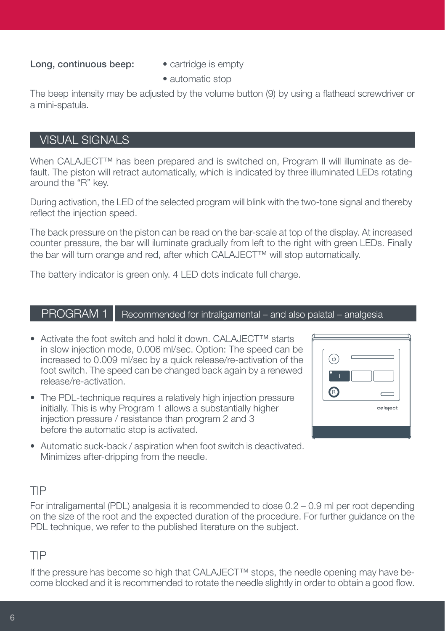## Long, continuous beep: • cartridge is empty

- 
- automatic stop

The beep intensity may be adjusted by the volume button (9) by using a flathead screwdriver or a mini-spatula.

## VISUAL SIGNALS

When CALAJECT™ has been prepared and is switched on, Program II will illuminate as default. The piston will retract automatically, which is indicated by three illuminated LEDs rotating around the "R" key.

During activation, the LED of the selected program will blink with the two-tone signal and thereby reflect the injection speed.

The back pressure on the piston can be read on the bar-scale at top of the display. At increased counter pressure, the bar will iluminate gradually from left to the right with green LEDs. Finally the bar will turn orange and red, after which CALAJECT™ will stop automatically.

The battery indicator is green only. 4 LED dots indicate full charge.

## $PROGRAM 1$  Recommended for intraligamental – and also palatal – analgesia

- Activate the foot switch and hold it down. CALAJECT™ starts in slow injection mode, 0.006 ml/sec. Option: The speed can be increased to 0.009 ml/sec by a quick release/re-activation of the foot switch. The speed can be changed back again by a renewed release/re-activation.
- The PDL-technique requires a relatively high injection pressure initially. This is why Program 1 allows a substantially higher injection pressure / resistance than program 2 and 3 before the automatic stop is activated.

| ۸ |          |
|---|----------|
|   |          |
|   |          |
|   | calaject |
|   |          |

• Automatic suck-back / aspiration when foot switch is deactivated. Minimizes after-dripping from the needle.

## TIP

For intraligamental (PDL) analgesia it is recommended to dose 0.2 – 0.9 ml per root depending on the size of the root and the expected duration of the procedure. For further guidance on the PDL technique, we refer to the published literature on the subject.

## TIP

If the pressure has become so high that CALAJECT™ stops, the needle opening may have become blocked and it is recommended to rotate the needle slightly in order to obtain a good flow.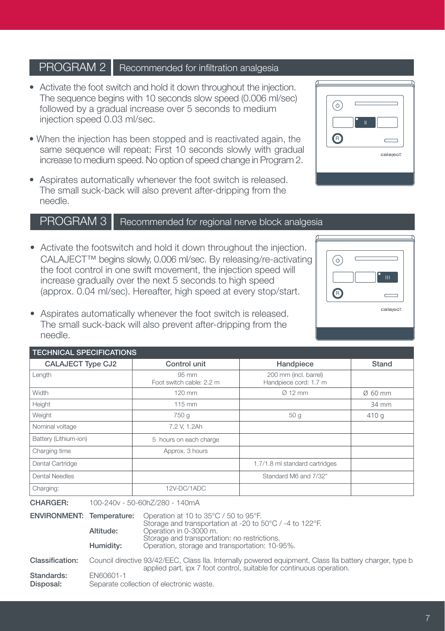## **PROGRAM 2** | Recommended for infiltration analgesia

- Activate the foot switch and hold it down throughout the injection. The sequence begins with 10 seconds slow speed (0.006 ml/sec) followed by a gradual increase over 5 seconds to medium injection speed 0.03 ml/sec.
- When the injection has been stopped and is reactivated again, the same sequence will repeat: First 10 seconds slowly with gradual increase to medium speed. No option of speed change in Program 2.
- Aspirates automatically whenever the foot switch is released. The small suck-back will also prevent after-dripping from the needle.

## PROGRAM 3 | Recommended for regional nerve block analgesia

- Activate the footswitch and hold it down throughout the injection. CALAJECT™ begins slowly, 0.006 ml/sec. By releasing/re-activating the foot control in one swift movement, the injection speed will increase gradually over the next 5 seconds to high speed (approx. 0.04 ml/sec). Hereafter, high speed at every stop/start.
- Aspirates automatically whenever the foot switch is released. The small suck-back will also prevent after-dripping from the needle.

| <b>CALAJECT Type CJ2</b> | Control unit                      | Handpiece                                      | Stand               |
|--------------------------|-----------------------------------|------------------------------------------------|---------------------|
| Length                   | 95 mm<br>Foot switch cable: 2.2 m | 200 mm (incl. barrel)<br>Handpiece cord: 1.7 m |                     |
| <b>Width</b>             | $120$ mm                          | $Q$ 12 mm                                      | $\varnothing$ 60 mm |
| Height                   | 115 mm                            |                                                | 34 mm               |
| Weight                   | 750 g                             | 50 <sub>g</sub>                                | 410 g               |
| Nominal voltage          | 7.2 V, 1.2Ah                      |                                                |                     |
| Battery (Lithium-ion)    | 5 hours on each charge            |                                                |                     |
| Charging time            | Approx. 3 hours                   |                                                |                     |
| Dental Cartridge         |                                   | 1.7/1.8 ml standard cartridges                 |                     |
| Dental Needles           |                                   | Standard M6 and 7/32"                          |                     |
| Charging:                | 12V-DC/1ADC                       |                                                |                     |

| <b>ENVIRONMENT: Temperature:</b> | Altitude:<br>Humidity: | Operation at 10 to 35°C / 50 to 95°F.<br>Storage and transportation at -20 to 50°C / -4 to 122°F.<br>Operation in 0-3000 m.<br>Storage and transportation: no restrictions.<br>Operation, storage and transportation: 10-95%. |
|----------------------------------|------------------------|-------------------------------------------------------------------------------------------------------------------------------------------------------------------------------------------------------------------------------|
| Classification:<br>Standards:    | EN60601-1              | Council directive 93/42/EEC, Class IIa. Internally powered equipment, Class IIa battery charger, type b<br>applied part, ipx 7 foot control, suitable for continuous operation.                                               |
| Disposal:                        |                        | Separate collection of electronic waste.                                                                                                                                                                                      |



 $\odot$  $\mathbf{H}^{\pm}$ ®  $\overline{C}$ calaject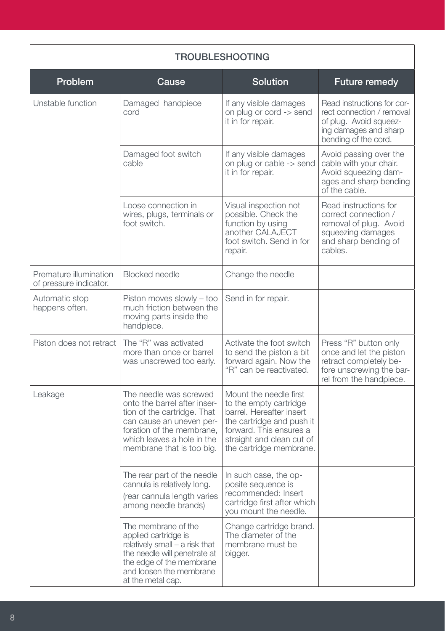| <b>TROUBLESHOOTING</b>                           |                                                                                                                                                                                                           |                                                                                                                                                                                              |                                                                                                                                    |
|--------------------------------------------------|-----------------------------------------------------------------------------------------------------------------------------------------------------------------------------------------------------------|----------------------------------------------------------------------------------------------------------------------------------------------------------------------------------------------|------------------------------------------------------------------------------------------------------------------------------------|
| Problem                                          | Cause                                                                                                                                                                                                     | Solution                                                                                                                                                                                     | Future remedy                                                                                                                      |
| Unstable function                                | Damaged handpiece<br>cord                                                                                                                                                                                 | If any visible damages<br>on plug or cord -> send<br>it in for repair.                                                                                                                       | Read instructions for cor-<br>rect connection / removal<br>of plug. Avoid squeez-<br>ing damages and sharp<br>bending of the cord. |
|                                                  | Damaged foot switch<br>cable                                                                                                                                                                              | If any visible damages<br>on plug or cable -> send<br>it in for repair.                                                                                                                      | Avoid passing over the<br>cable with your chair.<br>Avoid squeezing dam-<br>ages and sharp bending<br>of the cable.                |
|                                                  | Loose connection in<br>wires, plugs, terminals or<br>foot switch.                                                                                                                                         | Visual inspection not<br>possible. Check the<br>function by using<br>another CALAJECT<br>foot switch. Send in for<br>repair.                                                                 | Read instructions for<br>correct connection /<br>removal of plug. Avoid<br>squeezing damages<br>and sharp bending of<br>cables.    |
| Premature illumination<br>of pressure indicator. | <b>Blocked</b> needle                                                                                                                                                                                     | Change the needle                                                                                                                                                                            |                                                                                                                                    |
| Automatic stop<br>happens often.                 | Piston moves slowly - too<br>much friction between the<br>moving parts inside the<br>handpiece.                                                                                                           | Send in for repair.                                                                                                                                                                          |                                                                                                                                    |
| Piston does not retract                          | The "R" was activated<br>more than once or barrel<br>was unscrewed too early.                                                                                                                             | Activate the foot switch<br>to send the piston a bit<br>forward again. Now the<br>"R" can be reactivated.                                                                                    | Press "R" button only<br>once and let the piston<br>retract completely be-<br>fore unscrewing the bar-<br>rel from the handpiece.  |
| Leakage                                          | The needle was screwed<br>onto the barrel after inser-<br>tion of the cartridge. That<br>can cause an uneven per-<br>foration of the membrane.<br>which leaves a hole in the<br>membrane that is too big. | Mount the needle first<br>to the empty cartridge<br>barrel. Hereafter insert<br>the cartridge and push it<br>forward. This ensures a<br>straight and clean cut of<br>the cartridge membrane. |                                                                                                                                    |
|                                                  | The rear part of the needle<br>cannula is relatively long.<br>(rear cannula length varies<br>among needle brands)                                                                                         | In such case, the op-<br>posite sequence is<br>recommended: Insert<br>cartridge first after which<br>you mount the needle.                                                                   |                                                                                                                                    |
|                                                  | The membrane of the<br>applied cartridge is<br>relatively small - a risk that<br>the needle will penetrate at<br>the edge of the membrane<br>and loosen the membrane<br>at the metal cap.                 | Change cartridge brand.<br>The diameter of the<br>membrane must be<br>bigger.                                                                                                                |                                                                                                                                    |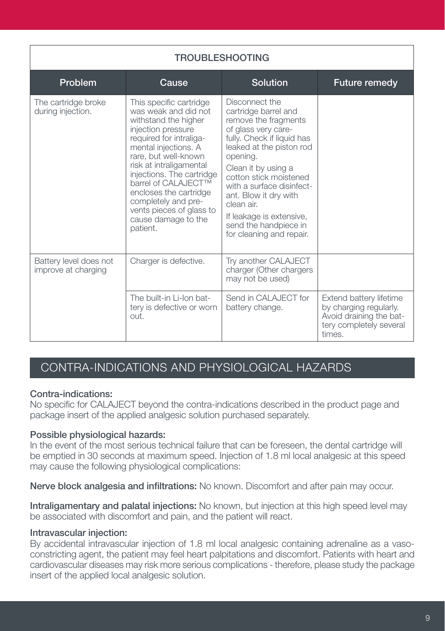| <b>TROUBLESHOOTING</b>                        |                                                                                                                                                                                                                                                                                                                                                                         |                                                                                                                                                                                                                                                                                                                                                                   |                                                                                                                   |
|-----------------------------------------------|-------------------------------------------------------------------------------------------------------------------------------------------------------------------------------------------------------------------------------------------------------------------------------------------------------------------------------------------------------------------------|-------------------------------------------------------------------------------------------------------------------------------------------------------------------------------------------------------------------------------------------------------------------------------------------------------------------------------------------------------------------|-------------------------------------------------------------------------------------------------------------------|
| Problem                                       | Cause                                                                                                                                                                                                                                                                                                                                                                   | <b>Solution</b>                                                                                                                                                                                                                                                                                                                                                   | <b>Future remedy</b>                                                                                              |
| The cartridge broke<br>during injection.      | This specific cartridge<br>was weak and did not<br>withstand the higher<br>injection pressure<br>required for intraliga-<br>mental injections. A<br>rare, but well-known<br>risk at intraligamental<br>injections. The cartridge<br>barrel of CALAJECT™<br>encloses the cartridge<br>completely and pre-<br>vents pieces of glass to<br>cause damage to the<br>patient. | Disconnect the<br>cartridge barrel and<br>remove the fragments<br>of glass very care-<br>fully. Check if liquid has<br>leaked at the piston rod<br>opening.<br>Clean it by using a<br>cotton stick moistened<br>with a surface disinfect-<br>ant. Blow it dry with<br>clean air.<br>If leakage is extensive,<br>send the handpiece in<br>for cleaning and repair. |                                                                                                                   |
| Battery level does not<br>improve at charging | Charger is defective.                                                                                                                                                                                                                                                                                                                                                   | Try another CALAJECT<br>charger (Other chargers<br>may not be used)                                                                                                                                                                                                                                                                                               |                                                                                                                   |
|                                               | The built-in Li-Ion bat-<br>tery is defective or worn<br>out.                                                                                                                                                                                                                                                                                                           | Send in CALAJECT for<br>battery change.                                                                                                                                                                                                                                                                                                                           | Extend battery lifetime<br>by charging regularly.<br>Avoid draining the bat-<br>tery completely several<br>times. |

## CONTRA-INDICATIONS AND PHYSIOLOGICAL HAZARDS

## Contra-indications:

No specific for CALAJECT beyond the contra-indications described in the product page and package insert of the applied analgesic solution purchased separately.

## Possible physiological hazards:

In the event of the most serious technical failure that can be foreseen, the dental cartridge will be emptied in 30 seconds at maximum speed. Injection of 1.8 ml local analgesic at this speed may cause the following physiological complications:

Nerve block analgesia and infiltrations: No known. Discomfort and after pain may occur.

Intraligamentary and palatal injections: No known, but injection at this high speed level may be associated with discomfort and pain, and the patient will react.

## Intravascular injection:

By accidental intravascular injection of 1.8 ml local analgesic containing adrenaline as a vasoconstricting agent, the patient may feel heart palpitations and discomfort. Patients with heart and cardiovascular diseases may risk more serious complications - therefore, please study the package insert of the applied local analgesic solution.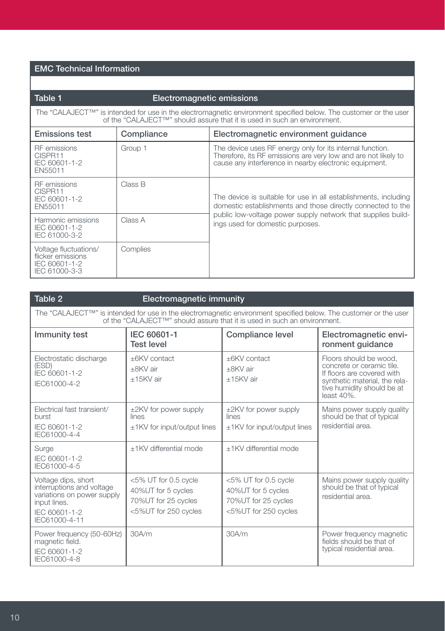## EMC Technical Information

| Table 1                                                                                                                                                                                                                 | Electromagnetic emissions |                                                                                                                                                                                       |  |
|-------------------------------------------------------------------------------------------------------------------------------------------------------------------------------------------------------------------------|---------------------------|---------------------------------------------------------------------------------------------------------------------------------------------------------------------------------------|--|
| The "CALAJECT <sup>TM</sup> " is intended for use in the electromagnetic environment specified below. The customer or the user<br>of the "CALAJECT <sup>™</sup> " should assure that it is used in such an environment. |                           |                                                                                                                                                                                       |  |
| <b>Emissions test</b>                                                                                                                                                                                                   | Compliance                | Electromagnetic environment quidance                                                                                                                                                  |  |
| <b>RF</b> emissions<br>CISPR11<br>IEC 60601-1-2<br>EN55011                                                                                                                                                              | Group 1                   | The device uses RF energy only for its internal function.<br>Therefore, its RF emissions are very low and are not likely to<br>cause any interference in nearby electronic equipment. |  |
| RF emissions<br>CISPR11<br>IEC 60601-1-2<br>EN55011                                                                                                                                                                     | Class B                   | The device is suitable for use in all establishments, including<br>domestic establishments and those directly connected to the                                                        |  |
| Harmonic emissions<br>IEC 60601-1-2<br>IEC 61000-3-2                                                                                                                                                                    | Class A                   | public low-voltage power supply network that supplies build-<br>ings used for domestic purposes.                                                                                      |  |
| Voltage fluctuations/<br>flicker emissions<br>IEC 60601-1-2<br>IEC 61000-3-3                                                                                                                                            | Complies                  |                                                                                                                                                                                       |  |

| Table 2                                                                                                                                                                                      | Electromagnetic immunity                                                                  |                                                                                           |                                                                                                                                                                    |
|----------------------------------------------------------------------------------------------------------------------------------------------------------------------------------------------|-------------------------------------------------------------------------------------------|-------------------------------------------------------------------------------------------|--------------------------------------------------------------------------------------------------------------------------------------------------------------------|
| The "CALAJECT™" is intended for use in the electromagnetic environment specified below. The customer or the user<br>of the "CALAJECT™" should assure that it is used in such an environment. |                                                                                           |                                                                                           |                                                                                                                                                                    |
| Immunity test                                                                                                                                                                                | IEC 60601-1<br><b>Test level</b>                                                          | Compliance level                                                                          | Electromagnetic envi-<br>ronment quidance                                                                                                                          |
| Electrostatic discharge<br>(ESD)<br>IEC 60601-1-2<br>IEC61000-4-2                                                                                                                            | +6KV contact<br>+8KV air<br>$+15$ KV air                                                  | +6KV contact<br>+8KV air<br>$+15$ KV air                                                  | Floors should be wood.<br>concrete or ceramic tile.<br>If floors are covered with<br>synthetic material, the rela-<br>tive humidity should be at<br>least $40\%$ . |
| Electrical fast transient/<br>burst<br>IEC 60601-1-2<br>IEC61000-4-4                                                                                                                         | $\pm$ 2KV for power supply<br>lines<br>$\pm$ 1KV for input/output lines                   | $\pm$ 2KV for power supply<br>lines<br>±1KV for input/output lines                        | Mains power supply quality<br>should be that of typical<br>residential area.                                                                                       |
| Surge<br>IEC 60601-1-2<br>IEC61000-4-5                                                                                                                                                       | +1KV differential mode                                                                    | +1KV differential mode                                                                    |                                                                                                                                                                    |
| Voltage dips, short<br>interruptions and voltage<br>variations on power supply<br>input lines.<br>IEC 60601-1-2<br>IEC61000-4-11                                                             | <5% UT for 0.5 cycle<br>40%UT for 5 cycles<br>70%UT for 25 cycles<br><5%UT for 250 cycles | <5% UT for 0.5 cycle<br>40%UT for 5 cycles<br>70%UT for 25 cycles<br><5%UT for 250 cycles | Mains power supply quality<br>should be that of typical<br>residential area.                                                                                       |
| Power frequency (50-60Hz)<br>magnetic field.<br>IEC 60601-1-2<br>IEC61000-4-8                                                                                                                | 30A/m                                                                                     | 30A/m                                                                                     | Power frequency magnetic<br>fields should be that of<br>typical residential area.                                                                                  |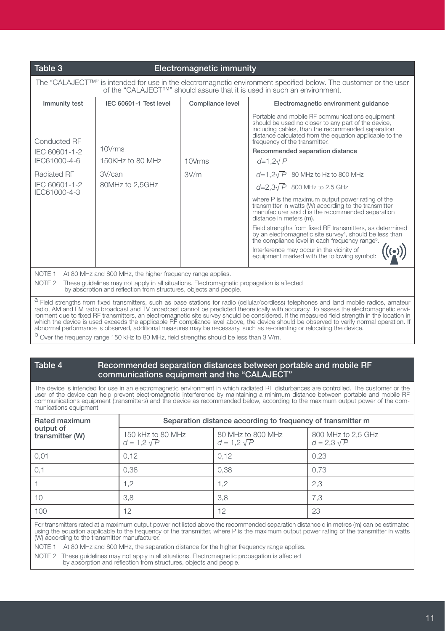### Table 3 Electromagnetic immunity

The "CALAJECT<sup>TM</sup>" is intended for use in the electromagnetic environment specified below. The customer or the user of the "CALAJECT™" should assure that it is used in such an environment. Immunity test IEC 60601-1 Test level Compliance level Electromagnetic environment guidance Portable and mobile RF communications equipment should be used no closer to any part of the device, including cables, than the recommended separation distance calculated from the equation applicable to the Conducted RF frequency of the transmitter. 10Vrms IEC 60601-1-2 Recommended separation distance IEC61000-4-6 150KHz to 80 MHz 10Vrms *d*=1,2√ *P* Radiated RF 3V/can 3V/m *d*=1,2√ *P* 80 MHz to Hz to 800 MHz IEC 60601-1-2 80MHz to 2,5GHz *d*=2,3√ *P* 800 MHz to 2,5 GHz IEC61000-4-3 where P is the maximum output power rating of the transmitter in watts (W) according to the transmitter manufacturer and d is the recommended separation distance in meters (m). Field strengths from fixed RF transmitters, as determined by an electromagnetic site survey<sup>a</sup>, should be less than the compliance level in each frequency rangeb Interference may occur in the vicinity of  $^{\prime}$ (e)) equipment marked with the following symbol: NOTE 1 At 80 MHz and 800 MHz, the higher frequency range applies. NOTE 2 These quidelines may not apply in all situations. Electromagnetic propagation is affected by absorption and reflection from structures, objects and people. a Field strengths from fixed transmitters, such as base stations for radio (cellular/cordless) telephones and land mobile radios, amateur radio, AM and FM radio broadcast and TV broadcast cannot be predicted theoretically with accuracy. To assess the electromagnetic envi-

ronment due to fixed RF transmitters, an electromagnetic site survey should be considered. If the measured field strength in the location in<br>which the device is used exceeds the applicable RF compliance level above, the de abnormal performance is observed, additional measures may be necessary, such as re-orienting or relocating the device.

b Over the frequency range 150 kHz to 80 MHz, field strengths should be less than 3 V/m.

## Table 4 Recommended separation distances between portable and mobile RF communications equipment and the "CALAJECT"

The device is intended for use in an electromagnetic environment in which radiated RF disturbances are controlled. The customer or the user of the device can help prevent electromagnetic interference by maintaining a minimum distance between portable and mobile RF communications equipment (transmitters) and the device as recommended below, according to the maximum output power of the com- munications equipment

| Rated maximum                | Separation distance according to frequency of transmitter m |                                         |                                          |  |
|------------------------------|-------------------------------------------------------------|-----------------------------------------|------------------------------------------|--|
| output of<br>transmitter (W) | 150 kHz to 80 MHz<br>$d = 1.2 \sqrt{P}$                     | 80 MHz to 800 MHz<br>$d = 1.2 \sqrt{P}$ | 800 MHz to 2,5 GHz<br>$d = 2.3 \sqrt{P}$ |  |
| 0.01                         | 0.12                                                        | 0.12                                    | 0.23                                     |  |
| 0,1                          | 0,38                                                        | 0.38                                    | 0.73                                     |  |
|                              | 1,2                                                         | 1.2                                     | 2,3                                      |  |
| 10                           | 3,8                                                         | 3,8                                     | 7,3                                      |  |
| 100                          | 12                                                          | 12                                      | 23                                       |  |

For transmitters rated at a maximum output power not listed above the recommended separation distance d in metres (m) can be estimated using the equation applicable to the frequency of the transmitter, where P is the maximum output power rating of the transmitter in watts (W) according to the transmitter manufacturer.

NOTE 1 At 80 MHz and 800 MHz, the separation distance for the higher frequency range applies.

NOTE 2 These guidelines may not apply in all situations. Electromagnetic propagation is affected by absorption and reflection from structures, objects and people.